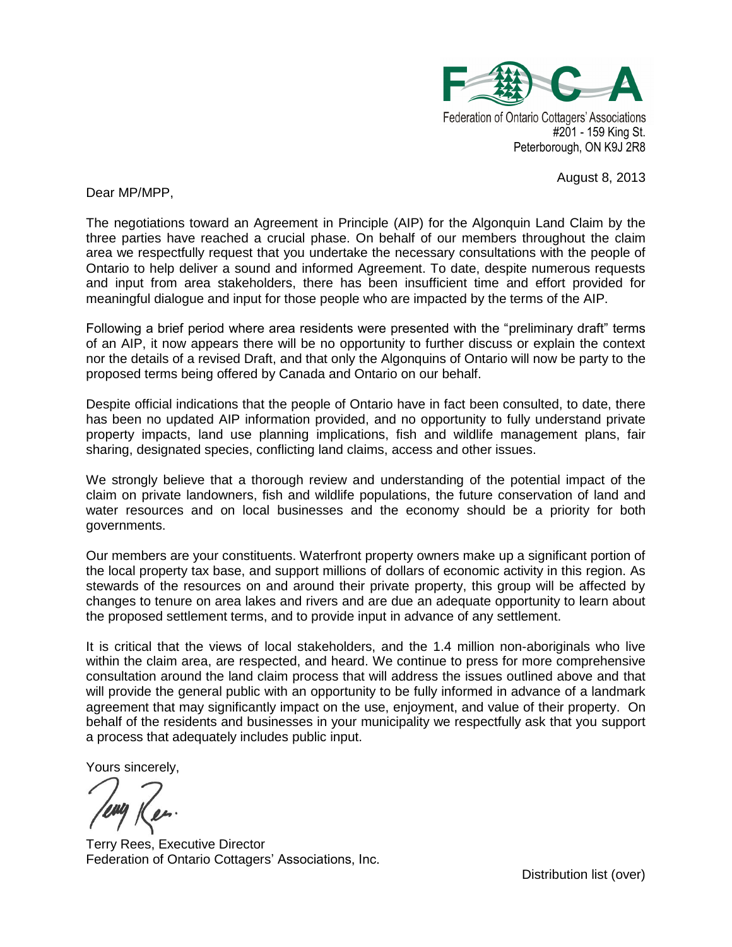

Federation of Ontario Cottagers' Associations #201 - 159 King St. Peterborough, ON K9J 2R8

August 8, 2013

Dear MP/MPP,

The negotiations toward an Agreement in Principle (AIP) for the Algonquin Land Claim by the three parties have reached a crucial phase. On behalf of our members throughout the claim area we respectfully request that you undertake the necessary consultations with the people of Ontario to help deliver a sound and informed Agreement. To date, despite numerous requests and input from area stakeholders, there has been insufficient time and effort provided for meaningful dialogue and input for those people who are impacted by the terms of the AIP.

Following a brief period where area residents were presented with the "preliminary draft" terms of an AIP, it now appears there will be no opportunity to further discuss or explain the context nor the details of a revised Draft, and that only the Algonquins of Ontario will now be party to the proposed terms being offered by Canada and Ontario on our behalf.

Despite official indications that the people of Ontario have in fact been consulted, to date, there has been no updated AIP information provided, and no opportunity to fully understand private property impacts, land use planning implications, fish and wildlife management plans, fair sharing, designated species, conflicting land claims, access and other issues.

We strongly believe that a thorough review and understanding of the potential impact of the claim on private landowners, fish and wildlife populations, the future conservation of land and water resources and on local businesses and the economy should be a priority for both governments.

Our members are your constituents. Waterfront property owners make up a significant portion of the local property tax base, and support millions of dollars of economic activity in this region. As stewards of the resources on and around their private property, this group will be affected by changes to tenure on area lakes and rivers and are due an adequate opportunity to learn about the proposed settlement terms, and to provide input in advance of any settlement.

It is critical that the views of local stakeholders, and the 1.4 million non-aboriginals who live within the claim area, are respected, and heard. We continue to press for more comprehensive consultation around the land claim process that will address the issues outlined above and that will provide the general public with an opportunity to be fully informed in advance of a landmark agreement that may significantly impact on the use, enjoyment, and value of their property. On behalf of the residents and businesses in your municipality we respectfully ask that you support a process that adequately includes public input.

Yours sincerely,

Terry Rees, Executive Director Federation of Ontario Cottagers' Associations, Inc.